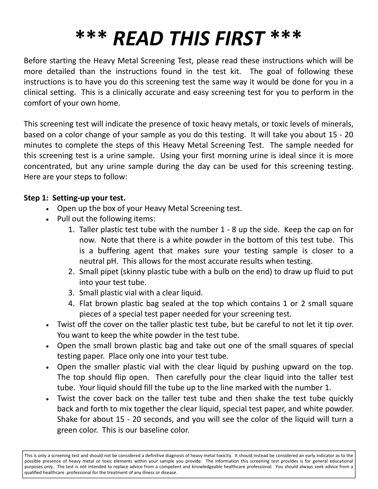# **\*\*\*** *READ THIS FIRST* **\*\*\***

Before starting the Heavy Metal Screening Test, please read these instructions which will be more detailed than the instructions found in the test kit. The goal of following these instructions is to have you do this screening test the same way it would be done for you in a clinical setting. This is a clinically accurate and easy screening test for you to perform in the comfort of your own home.

This screening test will indicate the presence of toxic heavy metals, or toxic levels of minerals, based on a color change of your sample as you do this testing. It will take you about 15 - 20 minutes to complete the steps of this Heavy Metal Screening Test. The sample needed for this screening test is a urine sample. Using your first morning urine is ideal since it is more concentrated, but any urine sample during the day can be used for this screening testing. Here are your steps to follow:

#### **Step 1: Setting-up your test.**

- Open up the box of your Heavy Metal Screening test.
- Pull out the following items:
	- 1. Taller plastic test tube with the number 1 8 up the side. Keep the cap on for now. Note that there is a white powder in the bottom of this test tube. This is a buffering agent that makes sure your testing sample is closer to a neutral pH. This allows for the most accurate results when testing.
	- 2. Small pipet (skinny plastic tube with a bulb on the end) to draw up fluid to put into your test tube.
	- 3. Small plastic vial with a clear liquid.
	- 4. Flat brown plastic bag sealed at the top which contains 1 or 2 small square pieces of a special test paper needed for your screening test.
- Twist off the cover on the taller plastic test tube, but be careful to not let it tip over. You want to keep the white powder in the test tube.
- Open the small brown plastic bag and take out one of the small squares of special testing paper. Place only one into your test tube.
- Open the smaller plastic vial with the clear liquid by pushing upward on the top. The top should flip open. Then carefully pour the clear liquid into the taller test tube. Your liquid should fill the tube up to the line marked with the number 1.
- Twist the cover back on the taller test tube and then shake the test tube quickly back and forth to mix together the clear liquid, special test paper, and white powder. Shake for about 15 - 20 seconds, and you will see the color of the liquid will turn a green color. This is our baseline color.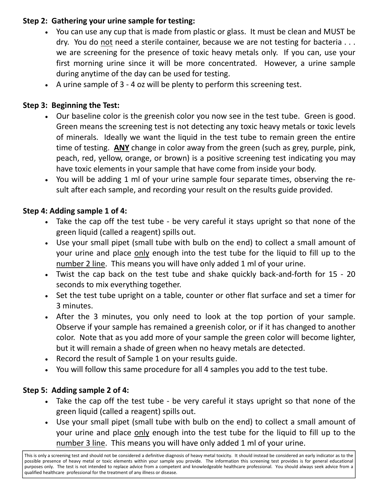## **Step 2: Gathering your urine sample for testing:**

- You can use any cup that is made from plastic or glass. It must be clean and MUST be dry. You do not need a sterile container, because we are not testing for bacteria . . . we are screening for the presence of toxic heavy metals only. If you can, use your first morning urine since it will be more concentrated. However, a urine sample during anytime of the day can be used for testing.
- A urine sample of 3 4 oz will be plenty to perform this screening test.

## **Step 3: Beginning the Test:**

- Our baseline color is the greenish color you now see in the test tube. Green is good. Green means the screening test is not detecting any toxic heavy metals or toxic levels of minerals. Ideally we want the liquid in the test tube to remain green the entire time of testing. **ANY** change in color away from the green (such as grey, purple, pink, peach, red, yellow, orange, or brown) is a positive screening test indicating you may have toxic elements in your sample that have come from inside your body.
- You will be adding 1 ml of your urine sample four separate times, observing the result after each sample, and recording your result on the results guide provided.

## **Step 4: Adding sample 1 of 4:**

- Take the cap off the test tube be very careful it stays upright so that none of the green liquid (called a reagent) spills out.
- Use your small pipet (small tube with bulb on the end) to collect a small amount of your urine and place only enough into the test tube for the liquid to fill up to the number 2 line. This means you will have only added 1 ml of your urine.
- Twist the cap back on the test tube and shake quickly back-and-forth for 15 20 seconds to mix everything together.
- Set the test tube upright on a table, counter or other flat surface and set a timer for 3 minutes.
- After the 3 minutes, you only need to look at the top portion of your sample. Observe if your sample has remained a greenish color, or if it has changed to another color. Note that as you add more of your sample the green color will become lighter, but it will remain a shade of green when no heavy metals are detected.
- Record the result of Sample 1 on your results guide.
- You will follow this same procedure for all 4 samples you add to the test tube.

## **Step 5: Adding sample 2 of 4:**

- Take the cap off the test tube be very careful it stays upright so that none of the green liquid (called a reagent) spills out.
- Use your small pipet (small tube with bulb on the end) to collect a small amount of your urine and place only enough into the test tube for the liquid to fill up to the number 3 line. This means you will have only added 1 ml of your urine.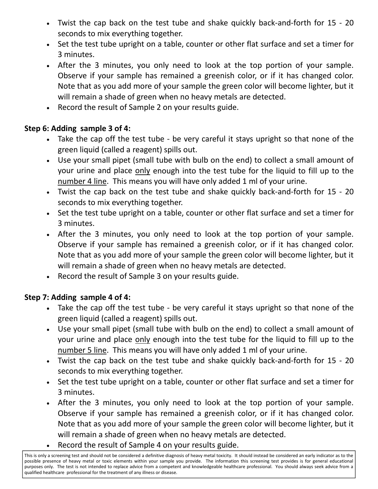- Twist the cap back on the test tube and shake quickly back-and-forth for 15 20 seconds to mix everything together.
- Set the test tube upright on a table, counter or other flat surface and set a timer for 3 minutes.
- After the 3 minutes, you only need to look at the top portion of your sample. Observe if your sample has remained a greenish color, or if it has changed color. Note that as you add more of your sample the green color will become lighter, but it will remain a shade of green when no heavy metals are detected.
- Record the result of Sample 2 on your results guide.

## **Step 6: Adding sample 3 of 4:**

- Take the cap off the test tube be very careful it stays upright so that none of the green liquid (called a reagent) spills out.
- Use your small pipet (small tube with bulb on the end) to collect a small amount of your urine and place only enough into the test tube for the liquid to fill up to the number 4 line. This means you will have only added 1 ml of your urine.
- Twist the cap back on the test tube and shake quickly back-and-forth for 15 20 seconds to mix everything together.
- Set the test tube upright on a table, counter or other flat surface and set a timer for 3 minutes.
- After the 3 minutes, you only need to look at the top portion of your sample. Observe if your sample has remained a greenish color, or if it has changed color. Note that as you add more of your sample the green color will become lighter, but it will remain a shade of green when no heavy metals are detected.
- Record the result of Sample 3 on your results guide.

## **Step 7: Adding sample 4 of 4:**

- Take the cap off the test tube be very careful it stays upright so that none of the green liquid (called a reagent) spills out.
- Use your small pipet (small tube with bulb on the end) to collect a small amount of your urine and place only enough into the test tube for the liquid to fill up to the number 5 line. This means you will have only added 1 ml of your urine.
- Twist the cap back on the test tube and shake quickly back-and-forth for 15 20 seconds to mix everything together.
- Set the test tube upright on a table, counter or other flat surface and set a timer for 3 minutes.
- After the 3 minutes, you only need to look at the top portion of your sample. Observe if your sample has remained a greenish color, or if it has changed color. Note that as you add more of your sample the green color will become lighter, but it will remain a shade of green when no heavy metals are detected.
- Record the result of Sample 4 on your results guide.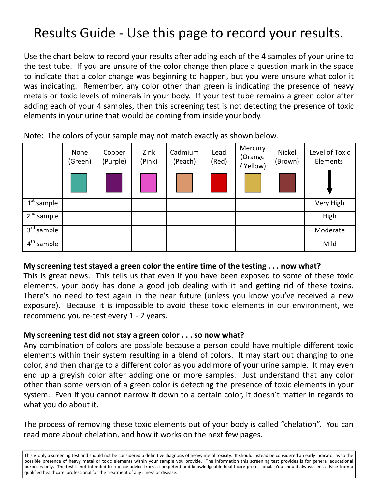## Results Guide - Use this page to record your results.

Use the chart below to record your results after adding each of the 4 samples of your urine to the test tube. If you are unsure of the color change then place a question mark in the space to indicate that a color change was beginning to happen, but you were unsure what color it was indicating. Remember, any color other than green is indicating the presence of heavy metals or toxic levels of minerals in your body. If your test tube remains a green color after adding each of your 4 samples, then this screening test is not detecting the presence of toxic elements in your urine that would be coming from inside your body.

|                            | None<br>(Green) | Copper<br>(Purple) | Zink<br>(Pink) | Cadmium<br>(Peach) | Lead<br>(Red) | Mercury<br>(Orange<br>Yellow) | Nickel<br>(Brown) | Level of Toxic<br>Elements |
|----------------------------|-----------------|--------------------|----------------|--------------------|---------------|-------------------------------|-------------------|----------------------------|
| $\overline{1^{st}}$ sample |                 |                    |                |                    |               |                               |                   | Very High                  |
| 2 <sup>nd</sup><br>sample  |                 |                    |                |                    |               |                               |                   | High                       |
| 3 <sup>rd</sup><br>sample  |                 |                    |                |                    |               |                               |                   | Moderate                   |
| $4^{\text{th}}$<br>sample  |                 |                    |                |                    |               |                               |                   | Mild                       |

Note: The colors of your sample may not match exactly as shown below.

## **My screening test stayed a green color the entire time of the testing . . . now what?**

This is great news. This tells us that even if you have been exposed to some of these toxic elements, your body has done a good job dealing with it and getting rid of these toxins. There's no need to test again in the near future (unless you know you've received a new exposure). Because it is impossible to avoid these toxic elements in our environment, we recommend you re-test every 1 - 2 years.

#### **My screening test did not stay a green color . . . so now what?**

Any combination of colors are possible because a person could have multiple different toxic elements within their system resulting in a blend of colors. It may start out changing to one color, and then change to a different color as you add more of your urine sample. It may even end up a greyish color after adding one or more samples. Just understand that any color other than some version of a green color is detecting the presence of toxic elements in your system. Even if you cannot narrow it down to a certain color, it doesn't matter in regards to what you do about it.

The process of removing these toxic elements out of your body is called "chelation". You can read more about chelation, and how it works on the next few pages.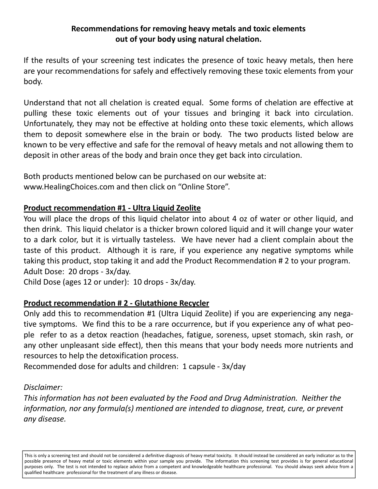#### **Recommendations for removing heavy metals and toxic elements out of your body using natural chelation.**

If the results of your screening test indicates the presence of toxic heavy metals, then here are your recommendations for safely and effectively removing these toxic elements from your body.

Understand that not all chelation is created equal. Some forms of chelation are effective at pulling these toxic elements out of your tissues and bringing it back into circulation. Unfortunately, they may not be effective at holding onto these toxic elements, which allows them to deposit somewhere else in the brain or body. The two products listed below are known to be very effective and safe for the removal of heavy metals and not allowing them to deposit in other areas of the body and brain once they get back into circulation.

Both products mentioned below can be purchased on our website at: www.HealingChoices.com and then click on "Online Store".

## **Product recommendation #1 - Ultra Liquid Zeolite**

You will place the drops of this liquid chelator into about 4 oz of water or other liquid, and then drink. This liquid chelator is a thicker brown colored liquid and it will change your water to a dark color, but it is virtually tasteless. We have never had a client complain about the taste of this product. Although it is rare, if you experience any negative symptoms while taking this product, stop taking it and add the Product Recommendation # 2 to your program. Adult Dose: 20 drops - 3x/day.

Child Dose (ages 12 or under): 10 drops - 3x/day.

## **Product recommendation # 2 - Glutathione Recycler**

Only add this to recommendation #1 (Ultra Liquid Zeolite) if you are experiencing any negative symptoms. We find this to be a rare occurrence, but if you experience any of what people refer to as a detox reaction (headaches, fatigue, soreness, upset stomach, skin rash, or any other unpleasant side effect), then this means that your body needs more nutrients and resources to help the detoxification process.

Recommended dose for adults and children: 1 capsule - 3x/day

#### *Disclaimer:*

*This information has not been evaluated by the Food and Drug Administration. Neither the information, nor any formula(s) mentioned are intended to diagnose, treat, cure, or prevent any disease.*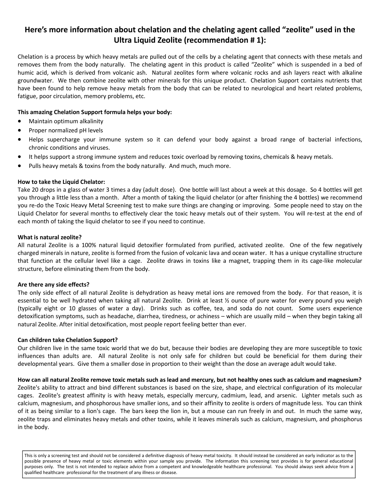#### **Here's more information about chelation and the chelating agent called "zeolite" used in the Ultra Liquid Zeolite (recommendation # 1):**

Chelation is a process by which heavy metals are pulled out of the cells by a chelating agent that connects with these metals and removes them from the body naturally. The chelating agent in this product is called "Zeolite" which is suspended in a bed of humic acid, which is derived from volcanic ash. Natural zeolites form where volcanic rocks and ash layers react with alkaline groundwater. We then combine zeolite with other minerals for this unique product. Chelation Support contains nutrients that have been found to help remove heavy metals from the body that can be related to neurological and heart related problems, fatigue, poor circulation, memory problems, etc.

#### **This amazing Chelation Support formula helps your body:**

- Maintain optimum alkalinity
- Proper normalized pH levels
- Helps supercharge your immune system so it can defend your body against a broad range of bacterial infections, chronic conditions and viruses.
- It helps support a strong immune system and reduces toxic overload by removing toxins, chemicals & heavy metals.
- Pulls heavy metals & toxins from the body naturally. And much, much more.

#### **How to take the Liquid Chelator:**

Take 20 drops in a glass of water 3 times a day (adult dose). One bottle will last about a week at this dosage. So 4 bottles will get you through a little less than a month. After a month of taking the liquid chelator (or after finishing the 4 bottles) we recommend you re-do the Toxic Heavy Metal Screening test to make sure things are changing or improving. Some people need to stay on the Liquid Chelator for several months to effectively clear the toxic heavy metals out of their system. You will re-test at the end of each month of taking the liquid chelator to see if you need to continue.

#### **What is natural zeolite?**

All natural Zeolite is a 100% natural liquid detoxifier formulated from purified, activated zeolite. One of the few negatively charged minerals in nature, zeolite is formed from the fusion of volcanic lava and ocean water. It has a unique crystalline structure that function at the cellular level like a cage. Zeolite draws in toxins like a magnet, trapping them in its cage-like molecular structure, before eliminating them from the body.

#### **Are there any side effects?**

The only side effect of all natural Zeolite is dehydration as heavy metal ions are removed from the body. For that reason, it is essential to be well hydrated when taking all natural Zeolite. Drink at least ½ ounce of pure water for every pound you weigh (typically eight or 10 glasses of water a day). Drinks such as coffee, tea, and soda do not count. Some users experience detoxification symptoms, such as headache, diarrhea, tiredness, or achiness – which are usually mild – when they begin taking all natural Zeolite. After initial detoxification, most people report feeling better than ever.

#### **Can children take Chelation Support?**

Our children live in the same toxic world that we do but, because their bodies are developing they are more susceptible to toxic influences than adults are. All natural Zeolite is not only safe for children but could be beneficial for them during their developmental years. Give them a smaller dose in proportion to their weight than the dose an average adult would take.

**How can all natural Zeolite remove toxic metals such as lead and mercury, but not healthy ones such as calcium and magnesium?** Zeolite's ability to attract and bind different substances is based on the size, shape, and electrical configuration of its molecular cages. Zeolite's greatest affinity is with heavy metals, especially mercury, cadmium, lead, and arsenic. Lighter metals such as calcium, magnesium, and phosphorous have smaller ions, and so their affinity to zeolite is orders of magnitude less. You can think of it as being similar to a lion's cage. The bars keep the lion in, but a mouse can run freely in and out. In much the same way, zeolite traps and eliminates heavy metals and other toxins, while it leaves minerals such as calcium, magnesium, and phosphorus in the body.